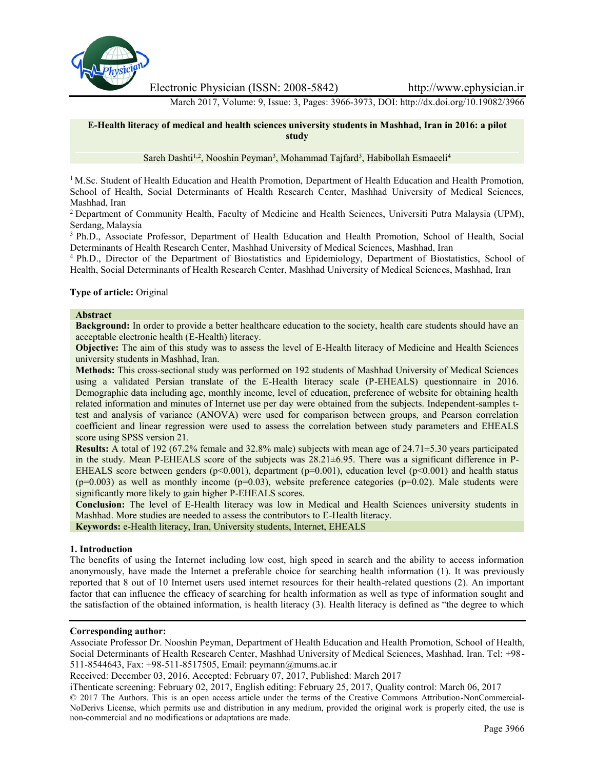

Electronic Physician (ISSN: 2008-5842) http://www.ephysician.ir

March 2017, Volume: 9, Issue: 3, Pages: 3966-3973, DOI: http://dx.doi.org/10.19082/3966

# **E-Health literacy of medical and health sciences university students in Mashhad, Iran in 2016: a pilot study**

Sareh Dashti<sup>1,2</sup>, Nooshin Peyman<sup>3</sup>, Mohammad Tajfard<sup>3</sup>, Habibollah Esmaeeli<sup>4</sup>

<sup>1</sup> M.Sc. Student of Health Education and Health Promotion, Department of Health Education and Health Promotion, School of Health, Social Determinants of Health Research Center, Mashhad University of Medical Sciences, Mashhad, Iran

<sup>2</sup> Department of Community Health, Faculty of Medicine and Health Sciences, Universiti Putra Malaysia (UPM), Serdang, Malaysia

<sup>3</sup> Ph.D., Associate Professor, Department of Health Education and Health Promotion, School of Health, Social Determinants of Health Research Center, Mashhad University of Medical Sciences, Mashhad, Iran

<sup>4</sup> Ph.D., Director of the Department of Biostatistics and Epidemiology, Department of Biostatistics, School of Health, Social Determinants of Health Research Center, Mashhad University of Medical Sciences, Mashhad, Iran

#### **Type of article:** Original

#### **Abstract**

**Background:** In order to provide a better healthcare education to the society, health care students should have an acceptable electronic health (E-Health) literacy.

**Objective:** The aim of this study was to assess the level of E-Health literacy of Medicine and Health Sciences university students in Mashhad, Iran.

**Methods:** This cross-sectional study was performed on 192 students of Mashhad University of Medical Sciences using a validated Persian translate of the E-Health literacy scale (P-EHEALS) questionnaire in 2016. Demographic data including age, monthly income, level of education, preference of website for obtaining health related information and minutes of Internet use per day were obtained from the subjects. Independent-samples ttest and analysis of variance (ANOVA) were used for comparison between groups, and Pearson correlation coefficient and linear regression were used to assess the correlation between study parameters and EHEALS score using SPSS version 21.

**Results:** A total of 192 (67.2% female and 32.8% male) subjects with mean age of 24.71±5.30 years participated in the study. Mean P-EHEALS score of the subjects was 28.21±6.95. There was a significant difference in P- EHEALS score between genders ( $p<0.001$ ), department ( $p=0.001$ ), education level ( $p<0.001$ ) and health status  $(p=0.003)$  as well as monthly income  $(p=0.03)$ , website preference categories  $(p=0.02)$ . Male students were significantly more likely to gain higher P-EHEALS scores.

**Conclusion:** The level of E-Health literacy was low in Medical and Health Sciences university students in Mashhad. More studies are needed to assess the contributors to E-Health literacy.

**Keywords:** e-Health literacy, Iran, University students, Internet, EHEALS

#### **1. Introduction**

The benefits of using the Internet including low cost, high speed in search and the ability to access information anonymously, have made the Internet a preferable choice for searching health information (1). It was previously reported that 8 out of 10 Internet users used internet resources for their health-related questions (2). An important factor that can influence the efficacy of searching for health information as well as type of information sought and the satisfaction of the obtained information, is health literacy (3). Health literacy is defined as "the degree to which

#### **Corresponding author:**

Associate Professor Dr. Nooshin Peyman, Department of Health Education and Health Promotion, School of Health, Social Determinants of Health Research Center, Mashhad University of Medical Sciences, Mashhad, Iran. Tel: +98- 511-8544643, Fax: +98-511-8517505, Email: peymann@mums.ac.ir

Received: December 03, 2016, Accepted: February 07, 2017, Published: March 2017

iThenticate screening: February 02, 2017, English editing: February 25, 2017, Quality control: March 06, 2017 © 2017 The Authors. This is an open access article under the terms of the Creative Commons Attribution-NonCommercial- NoDerivs License, which permits use and distribution in any medium, provided the original work is properly cited, the use is non-commercial and no modifications or adaptations are made.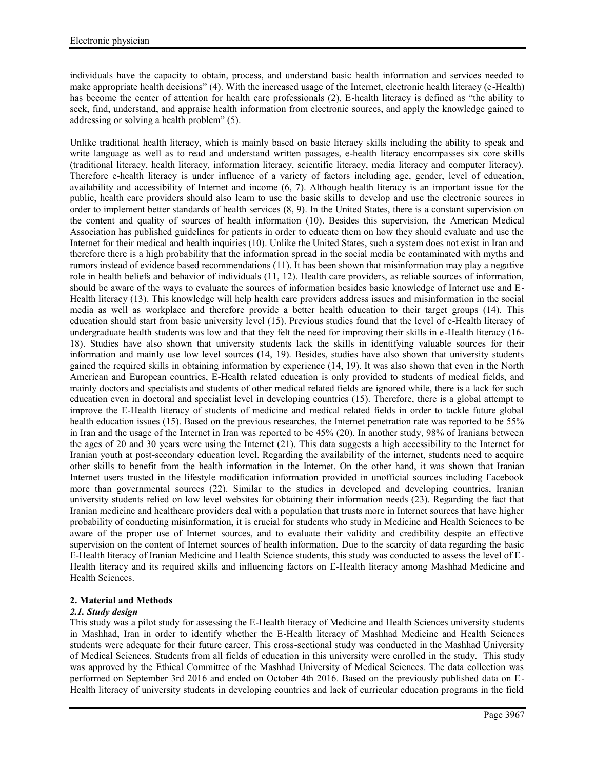individuals have the capacity to obtain, process, and understand basic health information and services needed to make appropriate health decisions" (4). With the increased usage of the Internet, electronic health literacy (e-Health) has become the center of attention for health care professionals (2). E-health literacy is defined as "the ability to seek, find, understand, and appraise health information from electronic sources, and apply the knowledge gained to addressing or solving a health problem" (5).

Unlike traditional health literacy, which is mainly based on basic literacy skills including the ability to speak and write language as well as to read and understand written passages, e-health literacy encompasses six core skills (traditional literacy, health literacy, information literacy, scientific literacy, media literacy and computer literacy). Therefore e-health literacy is under influence of a variety of factors including age, gender, level of education, availability and accessibility of Internet and income (6, 7). Although health literacy is an important issue for the public, health care providers should also learn to use the basic skills to develop and use the electronic sources in order to implement better standards of health services (8, 9). In the United States, there is a constant supervision on the content and quality of sources of health information (10). Besides this supervision, the American Medical Association has published guidelines for patients in order to educate them on how they should evaluate and use the Internet for their medical and health inquiries (10). Unlike the United States, such a system does not exist in Iran and therefore there is a high probability that the information spread in the social media be contaminated with myths and rumors instead of evidence based recommendations (11). It has been shown that misinformation may play a negative role in health beliefs and behavior of individuals (11, 12). Health care providers, as reliable sources of information, should be aware of the ways to evaluate the sources of information besides basic knowledge of Internet use and E- Health literacy (13). This knowledge will help health care providers address issues and misinformation in the social media as well as workplace and therefore provide a better health education to their target groups (14). This education should start from basic university level (15). Previous studies found that the level of e-Health literacy of undergraduate health students was low and that they felt the need for improving their skills in e-Health literacy (16- 18). Studies have also shown that university students lack the skills in identifying valuable sources for their information and mainly use low level sources (14, 19). Besides, studies have also shown that university students gained the required skills in obtaining information by experience (14, 19). It was also shown that even in the North American and European countries, E-Health related education is only provided to students of medical fields, and mainly doctors and specialists and students of other medical related fields are ignored while, there is a lack for such education even in doctoral and specialist level in developing countries (15). Therefore, there is a global attempt to improve the E-Health literacy of students of medicine and medical related fields in order to tackle future global health education issues (15). Based on the previous researches, the Internet penetration rate was reported to be 55% in Iran and the usage of the Internet in Iran was reported to be 45% (20). In another study, 98% of Iranians between the ages of 20 and 30 years were using the Internet (21). This data suggests a high accessibility to the Internet for Iranian youth at post-secondary education level. Regarding the availability of the internet, students need to acquire other skills to benefit from the health information in the Internet. On the other hand, it was shown that Iranian Internet users trusted in the lifestyle modification information provided in unofficial sources including Facebook more than governmental sources (22). Similar to the studies in developed and developing countries, Iranian university students relied on low level websites for obtaining their information needs (23). Regarding the fact that Iranian medicine and healthcare providers deal with a population that trusts more in Internet sources that have higher probability of conducting misinformation, it is crucial for students who study in Medicine and Health Sciences to be aware of the proper use of Internet sources, and to evaluate their validity and credibility despite an effective supervision on the content of Internet sources of health information. Due to the scarcity of data regarding the basic E-Health literacy of Iranian Medicine and Health Science students, this study was conducted to assess the level of E- Health literacy and its required skills and influencing factors on E-Health literacy among Mashhad Medicine and Health Sciences.

# **2. Material and Methods**

# *2.1. Study design*

This study was a pilot study for assessing the E-Health literacy of Medicine and Health Sciences university students in Mashhad, Iran in order to identify whether the E-Health literacy of Mashhad Medicine and Health Sciences students were adequate for their future career. This cross-sectional study was conducted in the Mashhad University of Medical Sciences. Students from all fields of education in this university were enrolled in the study. This study was approved by the Ethical Committee of the Mashhad University of Medical Sciences. The data collection was performed on September 3rd 2016 and ended on October 4th 2016. Based on the previously published data on E- Health literacy of university students in developing countries and lack of curricular education programs in the field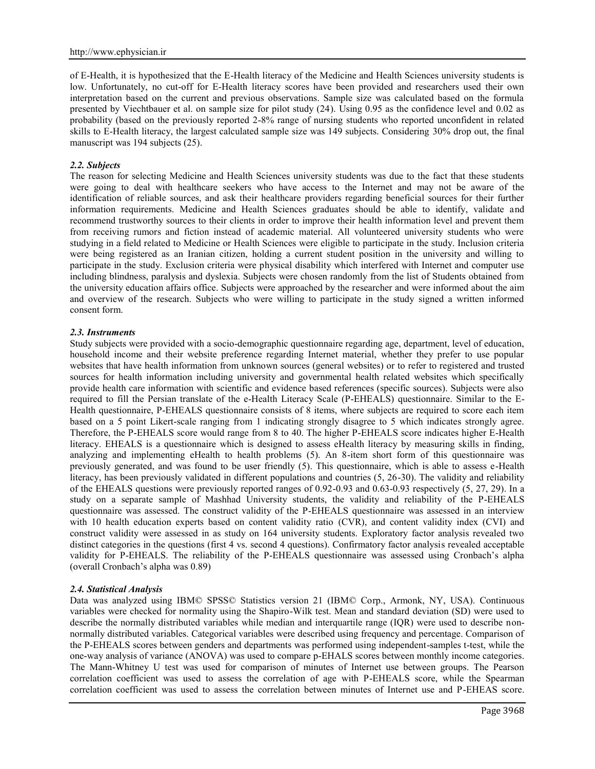of E-Health, it is hypothesized that the E-Health literacy of the Medicine and Health Sciences university students is low. Unfortunately, no cut-off for E-Health literacy scores have been provided and researchers used their own interpretation based on the current and previous observations. Sample size was calculated based on the formula presented by Viechtbauer et al. on sample size for pilot study (24). Using 0.95 as the confidence level and 0.02 as probability (based on the previously reported 2-8% range of nursing students who reported unconfident in related skills to E-Health literacy, the largest calculated sample size was 149 subjects. Considering 30% drop out, the final manuscript was 194 subjects (25).

#### *2.2. Subjects*

The reason for selecting Medicine and Health Sciences university students was due to the fact that these students were going to deal with healthcare seekers who have access to the Internet and may not be aware of the identification of reliable sources, and ask their healthcare providers regarding beneficial sources for their further information requirements. Medicine and Health Sciences graduates should be able to identify, validate and recommend trustworthy sources to their clients in order to improve their health information level and prevent them from receiving rumors and fiction instead of academic material. All volunteered university students who were studying in a field related to Medicine or Health Sciences were eligible to participate in the study. Inclusion criteria were being registered as an Iranian citizen, holding a current student position in the university and willing to participate in the study. Exclusion criteria were physical disability which interfered with Internet and computer use including blindness, paralysis and dyslexia. Subjects were chosen randomly from the list of Students obtained from the university education affairs office. Subjects were approached by the researcher and were informed about the aim and overview of the research. Subjects who were willing to participate in the study signed a written informed consent form.

#### *2.3. Instruments*

Study subjects were provided with a socio-demographic questionnaire regarding age, department, level of education, household income and their website preference regarding Internet material, whether they prefer to use popular websites that have health information from unknown sources (general websites) or to refer to registered and trusted sources for health information including university and governmental health related websites which specifically provide health care information with scientific and evidence based references (specific sources). Subjects were also required to fill the Persian translate of the e-Health Literacy Scale (P-EHEALS) questionnaire. Similar to the E- Health questionnaire, P-EHEALS questionnaire consists of 8 items, where subjects are required to score each item based on a 5 point Likert-scale ranging from 1 indicating strongly disagree to 5 which indicates strongly agree. Therefore, the P-EHEALS score would range from 8 to 40. The higher P-EHEALS score indicates higher E-Health literacy. EHEALS is a questionnaire which is designed to assess eHealth literacy by measuring skills in finding, analyzing and implementing eHealth to health problems (5). An 8-item short form of this questionnaire was previously generated, and was found to be user friendly (5). This questionnaire, which is able to assess e-Health literacy, has been previously validated in different populations and countries (5, 26-30). The validity and reliability of the EHEALS questions were previously reported ranges of 0.92-0.93 and 0.63-0.93 respectively (5, 27, 29). In a study on a separate sample of Mashhad University students, the validity and reliability of the P-EHEALS questionnaire was assessed. The construct validity of the P-EHEALS questionnaire was assessed in an interview with 10 health education experts based on content validity ratio (CVR), and content validity index (CVI) and construct validity were assessed in as study on 164 university students. Exploratory factor analysis revealed two distinct categories in the questions (first 4 vs. second 4 questions). Confirmatory factor analysis revealed acceptable validity for P-EHEALS. The reliability of the P-EHEALS questionnaire was assessed using Cronbach's alpha (overall Cronbach's alpha was 0.89)

# *2.4. Statistical Analysis*

Data was analyzed using IBM© SPSS© Statistics version 21 (IBM© Corp., Armonk, NY, USA). Continuous variables were checked for normality using the Shapiro-Wilk test. Mean and standard deviation (SD) were used to describe the normally distributed variables while median and interquartile range (IQR) were used to describe non normally distributed variables. Categorical variables were described using frequency and percentage. Comparison of the P-EHEALS scores between genders and departments was performed using independent-samples t-test, while the one-way analysis of variance (ANOVA) was used to compare p-EHALS scores between monthly income categories. The Mann-Whitney U test was used for comparison of minutes of Internet use between groups. The Pearson correlation coefficient was used to assess the correlation of age with P-EHEALS score, while the Spearman correlation coefficient was used to assess the correlation between minutes of Internet use and P-EHEAS score.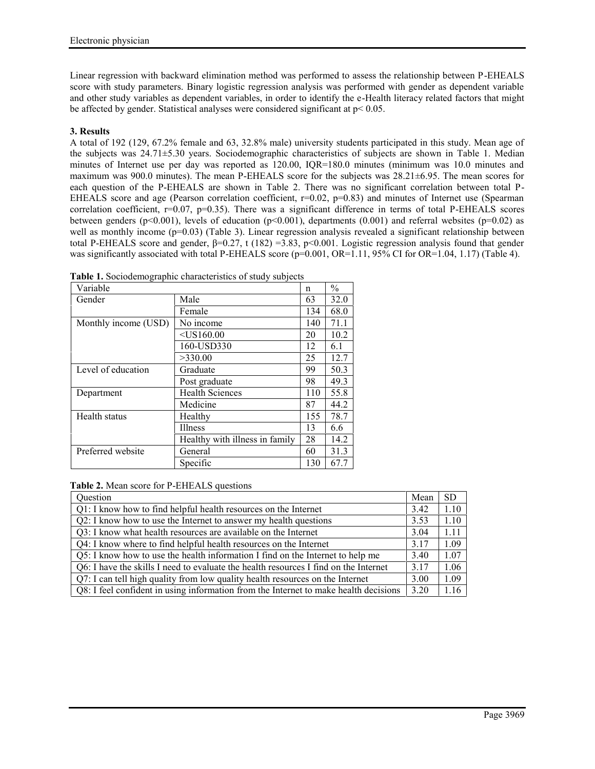Linear regression with backward elimination method was performed to assess the relationship between P-EHEALS score with study parameters. Binary logistic regression analysis was performed with gender as dependent variable and other study variables as dependent variables, in order to identify the e-Health literacy related factors that might be affected by gender. Statistical analyses were considered significant at p< 0.05.

# **3. Results**

A total of 192 (129, 67.2% female and 63, 32.8% male) university students participated in this study. Mean age of the subjects was 24.71±5.30 years. Sociodemographic characteristics of subjects are shown in Table 1. Median minutes of Internet use per day was reported as 120.00, IQR=180.0 minutes (minimum was 10.0 minutes and maximum was 900.0 minutes). The mean P-EHEALS score for the subjects was 28.21±6.95. The mean scores for each question of the P-EHEALS are shown in Table 2. There was no significant correlation between total P- EHEALS score and age (Pearson correlation coefficient,  $r=0.02$ ,  $p=0.83$ ) and minutes of Internet use (Spearman correlation coefficient,  $r=0.07$ ,  $p=0.35$ ). There was a significant difference in terms of total P-EHEALS scores between genders (p<0.001), levels of education (p<0.001), departments (0.001) and referral websites (p=0.02) as well as monthly income (p=0.03) (Table 3). Linear regression analysis revealed a significant relationship between total P-EHEALS score and gender, β=0.27, t (182) =3.83, p<0.001. Logistic regression analysis found that gender was significantly associated with total P-EHEALS score (p=0.001, OR=1.11, 95% CI for OR=1.04, 1.17) (Table 4).

| Variable             |                                | n   | $\frac{0}{0}$ |
|----------------------|--------------------------------|-----|---------------|
| Gender               | Male                           | 63  | 32.0          |
|                      | Female                         | 134 | 68.0          |
| Monthly income (USD) | No income                      | 140 | 71.1          |
|                      | $<$ US160.00                   | 20  | 10.2          |
|                      | 160-USD330                     | 12  | 6.1           |
|                      | >330.00                        | 25  | 12.7          |
| Level of education   | Graduate                       | 99  | 50.3          |
|                      | Post graduate                  | 98  | 49.3          |
| Department           | <b>Health Sciences</b>         | 110 | 55.8          |
|                      | Medicine                       | 87  | 44.2          |
| Health status        | Healthy                        | 155 | 78.7          |
|                      | <b>Illness</b>                 | 13  | 6.6           |
|                      | Healthy with illness in family | 28  | 14.2          |
| Preferred website    | General                        | 60  | 31.3          |
|                      | Specific                       | 130 | 67.7          |

**Table 1.** Sociodemographic characteristics of study subjects

**Table 2.** Mean score for P-EHEALS questions

| Question                                                                             | Mean | SD.  |
|--------------------------------------------------------------------------------------|------|------|
| Q1: I know how to find helpful health resources on the Internet                      | 3.42 | 1.10 |
| Q2: I know how to use the Internet to answer my health questions                     | 3.53 | 1.10 |
| Q3: I know what health resources are available on the Internet                       | 3.04 | 1.11 |
| Q4: I know where to find helpful health resources on the Internet                    | 3.17 | 1.09 |
| Q5: I know how to use the health information I find on the Internet to help me       | 3.40 | 1.07 |
| Q6: I have the skills I need to evaluate the health resources I find on the Internet | 3.17 | 1.06 |
| Q7: I can tell high quality from low quality health resources on the Internet        | 3.00 | 1.09 |
| Q8: I feel confident in using information from the Internet to make health decisions | 3.20 | 1.16 |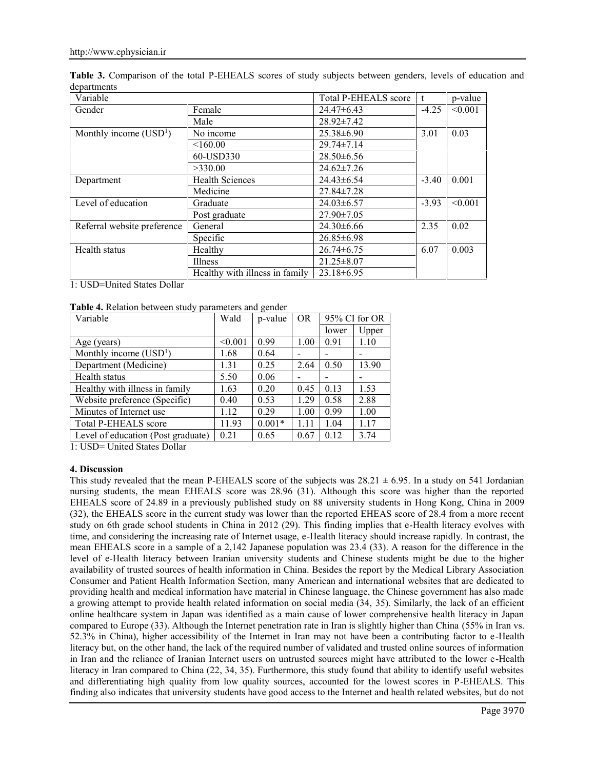| Variable                    |                                | <b>Total P-EHEALS score</b> |         | p-value |
|-----------------------------|--------------------------------|-----------------------------|---------|---------|
| Gender                      | Female                         | $24.47\pm6.43$              | $-4.25$ | < 0.001 |
|                             | Male                           | $28.92 \pm 7.42$            |         |         |
| Monthly income $(USD1)$     | No income                      | $25.38\pm 6.90$             | 3.01    | 0.03    |
|                             | < 160.00                       | $29.74 \pm 7.14$            |         |         |
|                             | 60-USD330                      | $28.50\pm 6.56$             |         |         |
|                             | >330.00                        | $24.62 \pm 7.26$            |         |         |
| Department                  | <b>Health Sciences</b>         | $24.43\pm 6.54$             | $-3.40$ | 0.001   |
|                             | Medicine                       | 27.84±7.28                  |         |         |
| Level of education          | Graduate                       | $24.03\pm 6.57$             | $-3.93$ | < 0.001 |
|                             | Post graduate                  | $27.90 \pm 7.05$            |         |         |
| Referral website preference | General                        | $24.30\pm 6.66$             | 2.35    | 0.02    |
|                             | Specific                       | $26.85\pm 6.98$             |         |         |
| Health status               | Healthy                        | $26.74 \pm 6.75$            | 6.07    | 0.003   |
|                             | Illness                        | $21.25 \pm 8.07$            |         |         |
|                             | Healthy with illness in family | $23.18 \pm 6.95$            |         |         |

**Table 3.** Comparison of the total P-EHEALS scores of study subjects between genders, levels of education and departments

1: USD=United States Dollar

**Table 4.** Relation between study parameters and gender

| Variable                           | Wald    | p-value  | OR   | 95% CI for OR |       |
|------------------------------------|---------|----------|------|---------------|-------|
|                                    |         |          |      | lower         | Upper |
| Age (years)                        | < 0.001 | 0.99     | 1.00 | 0.91          | 1.10  |
| Monthly income $(USD1)$            | 1.68    | 0.64     |      |               |       |
| Department (Medicine)              | 1.31    | 0.25     | 2.64 | 0.50          | 13.90 |
| Health status                      | 5.50    | 0.06     |      |               |       |
| Healthy with illness in family     | 1.63    | 0.20     | 0.45 | 0.13          | 1.53  |
| Website preference (Specific)      | 0.40    | 0.53     | 1.29 | 0.58          | 2.88  |
| Minutes of Internet use.           | 1.12    | 0.29     | 1.00 | 0.99          | 1.00  |
| <b>Total P-EHEALS score</b>        | 11.93   | $0.001*$ | 1.11 | 1.04          | 1.17  |
| Level of education (Post graduate) | 0.21    | 0.65     | 0.67 | 0.12          | 3.74  |

1: USD= United States Dollar

# **4. Discussion**

This study revealed that the mean P-EHEALS score of the subjects was  $28.21 \pm 6.95$ . In a study on 541 Jordanian nursing students, the mean EHEALS score was 28.96 (31). Although this score was higher than the reported EHEALS score of 24.89 in a previously published study on 88 university students in Hong Kong, China in 2009 (32), the EHEALS score in the current study was lower than the reported EHEAS score of 28.4 from a more recent study on 6th grade school students in China in 2012 (29). This finding implies that e-Health literacy evolves with time, and considering the increasing rate of Internet usage, e-Health literacy should increase rapidly. In contrast, the mean EHEALS score in a sample of a 2,142 Japanese population was 23.4 (33). A reason for the difference in the level of e-Health literacy between Iranian university students and Chinese students might be due to the higher availability of trusted sources of health information in China. Besides the report by the Medical Library Association Consumer and Patient Health Information Section, many American and international websites that are dedicated to providing health and medical information have material in Chinese language, the Chinese government has also made a growing attempt to provide health related information on social media (34, 35). Similarly, the lack of an efficient online healthcare system in Japan was identified as a main cause of lower comprehensive health literacy in Japan compared to Europe (33). Although the Internet penetration rate in Iran is slightly higher than China (55% in Iran vs. 52.3% in China), higher accessibility of the Internet in Iran may not have been a contributing factor to e-Health literacy but, on the other hand, the lack of the required number of validated and trusted online sources of information in Iran and the reliance of Iranian Internet users on untrusted sources might have attributed to the lower e-Health literacy in Iran compared to China (22, 34, 35). Furthermore, this study found that ability to identify useful websites and differentiating high quality from low quality sources, accounted for the lowest scores in P-EHEALS. This finding also indicates that university students have good access to the Internet and health related websites, but do not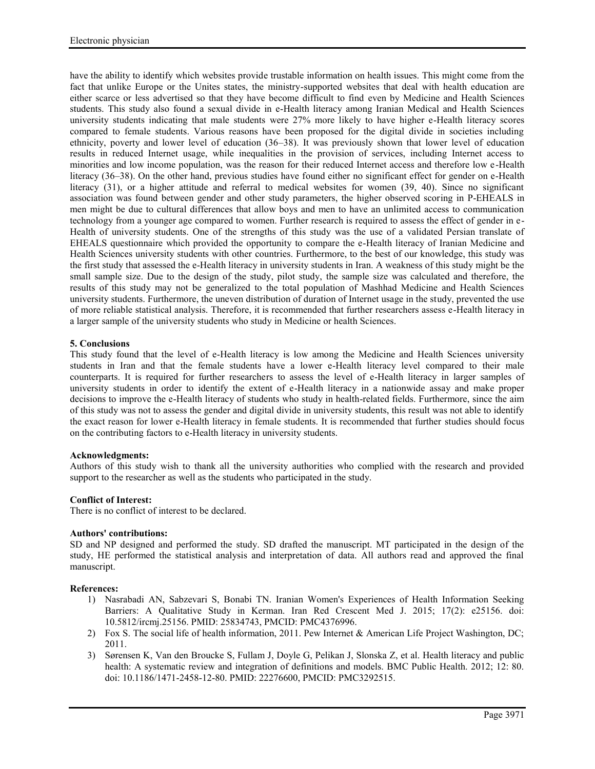have the ability to identify which websites provide trustable information on health issues. This might come from the fact that unlike Europe or the Unites states, the ministry-supported websites that deal with health education are either scarce or less advertised so that they have become difficult to find even by Medicine and Health Sciences students. This study also found a sexual divide in e-Health literacy among Iranian Medical and Health Sciences university students indicating that male students were 27% more likely to have higher e-Health literacy scores compared to female students. Various reasons have been proposed for the digital divide in societies including ethnicity, poverty and lower level of education (36–38). It was previously shown that lower level of education results in reduced Internet usage, while inequalities in the provision of services, including Internet access to minorities and low income population, was the reason for their reduced Internet access and therefore low e-Health literacy (36–38). On the other hand, previous studies have found either no significant effect for gender on e-Health literacy (31), or a higher attitude and referral to medical websites for women (39, 40). Since no significant association was found between gender and other study parameters, the higher observed scoring in P-EHEALS in men might be due to cultural differences that allow boys and men to have an unlimited access to communication technology from a younger age compared to women. Further research is required to assess the effect of gender in e- Health of university students. One of the strengths of this study was the use of a validated Persian translate of EHEALS questionnaire which provided the opportunity to compare the e-Health literacy of Iranian Medicine and Health Sciences university students with other countries. Furthermore, to the best of our knowledge, this study was the first study that assessed the e-Health literacy in university students in Iran. A weakness of this study might be the small sample size. Due to the design of the study, pilot study, the sample size was calculated and therefore, the results of this study may not be generalized to the total population of Mashhad Medicine and Health Sciences university students. Furthermore, the uneven distribution of duration of Internet usage in the study, prevented the use of more reliable statistical analysis. Therefore, it is recommended that further researchers assess e-Health literacy in a larger sample of the university students who study in Medicine or health Sciences.

# **5. Conclusions**

This study found that the level of e-Health literacy is low among the Medicine and Health Sciences university students in Iran and that the female students have a lower e-Health literacy level compared to their male counterparts. It is required for further researchers to assess the level of e-Health literacy in larger samples of university students in order to identify the extent of e-Health literacy in a nationwide assay and make proper decisions to improve the e-Health literacy of students who study in health-related fields. Furthermore, since the aim of this study was not to assess the gender and digital divide in university students, this result was not able to identify the exact reason for lower e-Health literacy in female students. It is recommended that further studies should focus on the contributing factors to e-Health literacy in university students.

# **Acknowledgments:**

Authors of this study wish to thank all the university authorities who complied with the research and provided support to the researcher as well as the students who participated in the study.

# **Conflict of Interest:**

There is no conflict of interest to be declared.

#### **Authors' contributions:**

SD and NP designed and performed the study. SD drafted the manuscript. MT participated in the design of the study, HE performed the statistical analysis and interpretation of data. All authors read and approved the final manuscript.

#### **References:**

- 1) Nasrabadi AN, Sabzevari S, Bonabi TN. Iranian Women's Experiences of Health Information Seeking Barriers: A Qualitative Study in Kerman. Iran Red Crescent Med J. 2015; 17(2): e25156. doi: 10.5812/ircmj.25156. PMID: 25834743, PMCID: PMC4376996.
- 2) Fox S. The social life of health information, 2011. Pew Internet & American Life Project Washington, DC; 2011.
- 3) Sørensen K, Van den Broucke S, Fullam J, Doyle G, Pelikan J, Slonska Z, et al. Health literacy and public health: A systematic review and integration of definitions and models. BMC Public Health. 2012; 12: 80. doi: 10.1186/1471-2458-12-80. PMID: 22276600, PMCID: PMC3292515.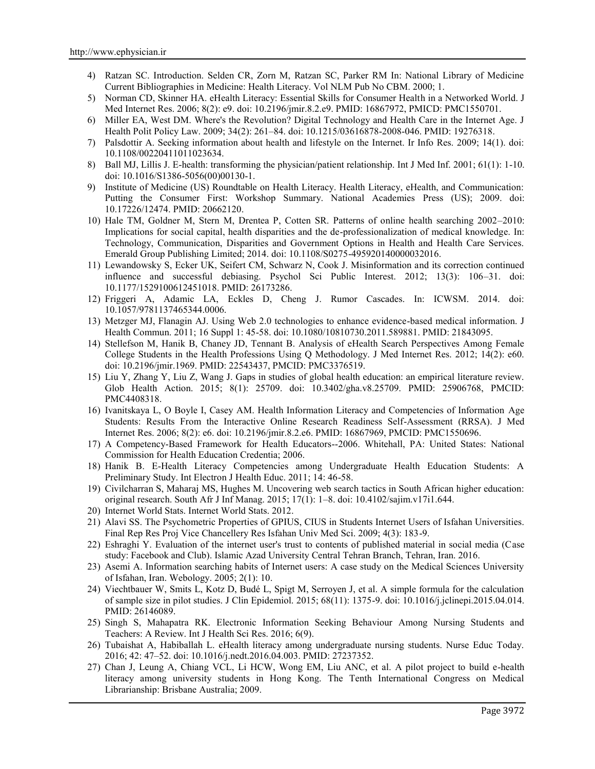- 4) Ratzan SC. Introduction. Selden CR, Zorn M, Ratzan SC, Parker RM In: National Library of Medicine Current Bibliographies in Medicine: Health Literacy. Vol NLM Pub No CBM. 2000; 1.
- 5) Norman CD, Skinner HA. eHealth Literacy: Essential Skills for Consumer Health in a Networked World. J Med Internet Res. 2006; 8(2): e9. doi: 10.2196/jmir.8.2.e9. PMID: 16867972, PMICD: PMC1550701.
- 6) Miller EA, West DM. Where's the Revolution? Digital Technology and Health Care in the Internet Age. J Health Polit Policy Law. 2009; 34(2): 261–84. doi: 10.1215/03616878-2008-046. PMID: 19276318.
- 7) Palsdottir A. Seeking information about health and lifestyle on the Internet. Ir Info Res. 2009; 14(1). doi: 10.1108/00220411011023634.
- 8) Ball MJ, Lillis J. E-health: transforming the physician/patient relationship. Int J Med Inf. 2001; 61(1): 1-10. doi: 10.1016/S1386-5056(00)00130-1.
- 9) Institute of Medicine (US) Roundtable on Health Literacy. Health Literacy, eHealth, and Communication: Putting the Consumer First: Workshop Summary. National Academies Press (US); 2009. doi: 10.17226/12474. PMID: 20662120.
- 10) Hale TM, Goldner M, Stern M, Drentea P, Cotten SR. Patterns of online health searching 2002–2010: Implications for social capital, health disparities and the de-professionalization of medical knowledge. In: Technology, Communication, Disparities and Government Options in Health and Health Care Services. Emerald Group Publishing Limited; 2014. doi: 10.1108/S0275-495920140000032016.
- 11) Lewandowsky S, Ecker UK, Seifert CM, Schwarz N, Cook J. Misinformation and its correction continued influence and successful debiasing. Psychol Sci Public Interest. 2012; 13(3): 106–31. doi: 10.1177/1529100612451018. PMID: 26173286.
- 12) Friggeri A, Adamic LA, Eckles D, Cheng J. Rumor Cascades. In: ICWSM. 2014. doi: 10.1057/9781137465344.0006.
- 13) Metzger MJ, Flanagin AJ. Using Web 2.0 technologies to enhance evidence-based medical information. J Health Commun. 2011; 16 Suppl 1: 45-58. doi: 10.1080/10810730.2011.589881. PMID: 21843095.
- 14) Stellefson M, Hanik B, Chaney JD, Tennant B. Analysis of eHealth Search Perspectives Among Female College Students in the Health Professions Using Q Methodology. J Med Internet Res. 2012; 14(2): e60. doi: 10.2196/jmir.1969. PMID: 22543437, PMCID: PMC3376519.
- 15) Liu Y, Zhang Y, Liu Z, Wang J. Gaps in studies of global health education: an empirical literature review. Glob Health Action. 2015; 8(1): 25709. doi: 10.3402/gha.v8.25709. PMID: 25906768, PMCID: PMC4408318.
- 16) Ivanitskaya L, O Boyle I, Casey AM. Health Information Literacy and Competencies of Information Age Students: Results From the Interactive Online Research Readiness Self-Assessment (RRSA). J Med Internet Res. 2006; 8(2): e6. doi: 10.2196/jmir.8.2.e6. PMID: 16867969, PMCID: PMC1550696.
- 17) A Competency-Based Framework for Health Educators--2006. Whitehall, PA: United States: National Commission for Health Education Credentia; 2006.
- 18) Hanik B. E-Health Literacy Competencies among Undergraduate Health Education Students: A Preliminary Study. Int Electron J Health Educ. 2011; 14: 46-58.
- 19) Civilcharran S, Maharaj MS, Hughes M. Uncovering web search tactics in South African higher education: original research. South Afr J Inf Manag. 2015; 17(1): 1–8. doi: 10.4102/sajim.v17i1.644.
- 20) Internet World Stats. Internet World Stats. 2012.
- 21) Alavi SS. The Psychometric Properties of GPIUS, CIUS in Students Internet Users of Isfahan Universities. Final Rep Res Proj Vice Chancellery Res Isfahan Univ Med Sci. 2009; 4(3): 183-9.
- 22) Eshraghi Y. Evaluation of the internet user's trust to contents of published material in social media (Case study: Facebook and Club). Islamic Azad University Central Tehran Branch, Tehran, Iran. 2016.
- 23) Asemi A. Information searching habits of Internet users: A case study on the Medical Sciences University of Isfahan, Iran. Webology. 2005; 2(1): 10.
- 24) Viechtbauer W, Smits L, Kotz D, Budé L, Spigt M, Serroyen J, et al. A simple formula for the calculation of sample size in pilot studies. J Clin Epidemiol. 2015; 68(11): 1375-9. doi: 10.1016/j.jclinepi.2015.04.014. PMID: 26146089.
- 25) Singh S, Mahapatra RK. Electronic Information Seeking Behaviour Among Nursing Students and Teachers: A Review. Int J Health Sci Res. 2016; 6(9).
- 26) Tubaishat A, Habiballah L. eHealth literacy among undergraduate nursing students. Nurse Educ Today. 2016; 42: 47–52. doi: 10.1016/j.nedt.2016.04.003. PMID: 27237352.
- 27) Chan J, Leung A, Chiang VCL, Li HCW, Wong EM, Liu ANC, et al. A pilot project to build e-health literacy among university students in Hong Kong. The Tenth International Congress on Medical Librarianship: Brisbane Australia; 2009.